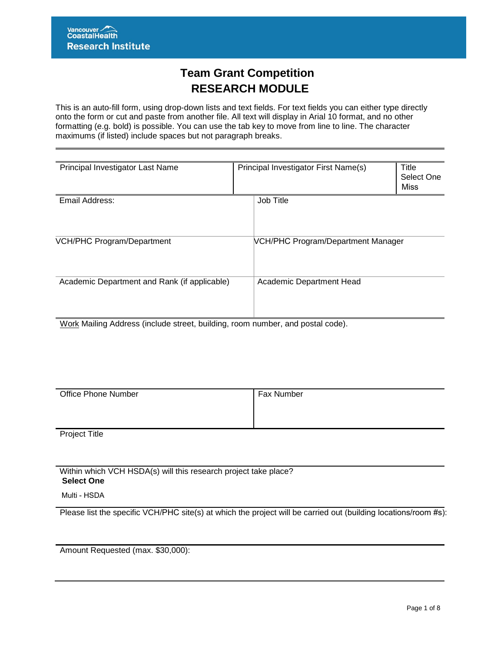# **Team Grant Competition RESEARCH MODULE**

This is an auto-fill form, using drop-down lists and text fields. For text fields you can either type directly onto the form or cut and paste from another file. All text will display in Arial 10 format, and no other formatting (e.g. bold) is possible. You can use the tab key to move from line to line. The character maximums (if listed) include spaces but not paragraph breaks.

| Principal Investigator Last Name                                                                                                      | Principal Investigator First Name(s) | Title<br>Select One<br>Miss |
|---------------------------------------------------------------------------------------------------------------------------------------|--------------------------------------|-----------------------------|
| Email Address:                                                                                                                        | Job Title                            |                             |
| <b>VCH/PHC Program/Department</b>                                                                                                     | VCH/PHC Program/Department Manager   |                             |
| Academic Department and Rank (if applicable)<br>$M_{\rm crit}$ Meilian Address (include street building ream number, and peatel eads) | Academic Department Head             |                             |

Work Mailing Address (include street, building, room number, and postal code).

| <b>Office Phone Number</b> | Fax Number |
|----------------------------|------------|
|                            |            |
|                            |            |

Project Title

Within which VCH HSDA(s) will this research project take place? **Select One** 

Multi - HSDA

Please list the specific VCH/PHC site(s) at which the project will be carried out (building locations/room #s):

Amount Requested (max. \$30,000):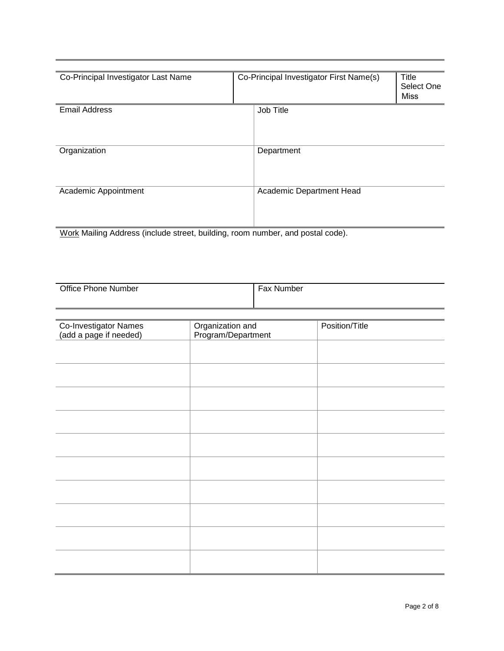| Co-Principal Investigator Last Name | Co-Principal Investigator First Name(s) | Title<br>Select One<br><b>Miss</b> |
|-------------------------------------|-----------------------------------------|------------------------------------|
| <b>Email Address</b>                | Job Title                               |                                    |
| Organization                        | Department                              |                                    |
| Academic Appointment                | Academic Department Head                |                                    |

Work Mailing Address (include street, building, room number, and postal code).

| <b>Office Phone Number</b> | <b>Fax Number</b> |
|----------------------------|-------------------|
|                            |                   |
|                            |                   |

| Organization and<br>Program/Department | Position/Title |
|----------------------------------------|----------------|
|                                        |                |
|                                        |                |
|                                        |                |
|                                        |                |
|                                        |                |
|                                        |                |
|                                        |                |
|                                        |                |
|                                        |                |
|                                        |                |
|                                        |                |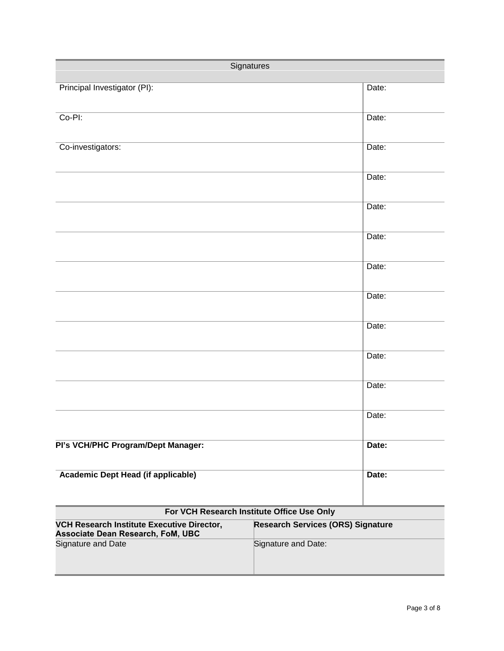| Signatures                                                                      |                                          |       |
|---------------------------------------------------------------------------------|------------------------------------------|-------|
| Principal Investigator (PI):                                                    |                                          | Date: |
| Co-PI:                                                                          |                                          | Date: |
|                                                                                 |                                          |       |
| Co-investigators:                                                               |                                          | Date: |
|                                                                                 |                                          | Date: |
|                                                                                 |                                          | Date: |
|                                                                                 |                                          | Date: |
|                                                                                 |                                          | Date: |
|                                                                                 |                                          | Date: |
|                                                                                 |                                          | Date: |
|                                                                                 |                                          | Date: |
|                                                                                 |                                          | Date: |
|                                                                                 |                                          | Date: |
| PI's VCH/PHC Program/Dept Manager:                                              |                                          | Date: |
| Academic Dept Head (if applicable)                                              |                                          | Date: |
| For VCH Research Institute Office Use Only                                      |                                          |       |
| VCH Research Institute Executive Director,<br>Associate Dean Research, FoM, UBC | <b>Research Services (ORS) Signature</b> |       |
| Signature and Date                                                              | Signature and Date:                      |       |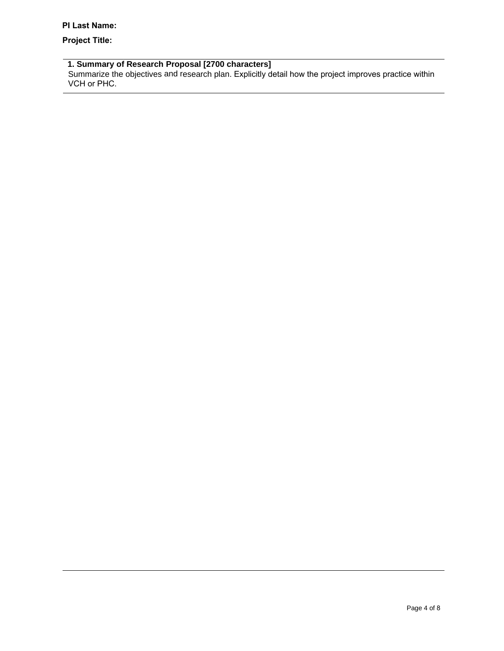## **Project Title:**

#### **1. Summary of Research Proposal [2700 characters]**

Summarize the objectives and research plan. Explicitly detail how the project improves practice within VCH or PHC.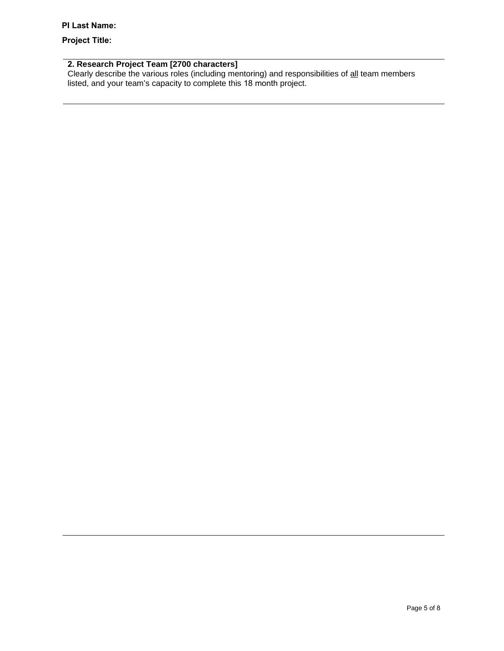#### **PI Last Name:**

### **Project Title:**

#### **2. Research Project Team [2700 characters]**

Clearly describe the various roles (including mentoring) and responsibilities of all team members listed, and your team's capacity to complete this 18 month project.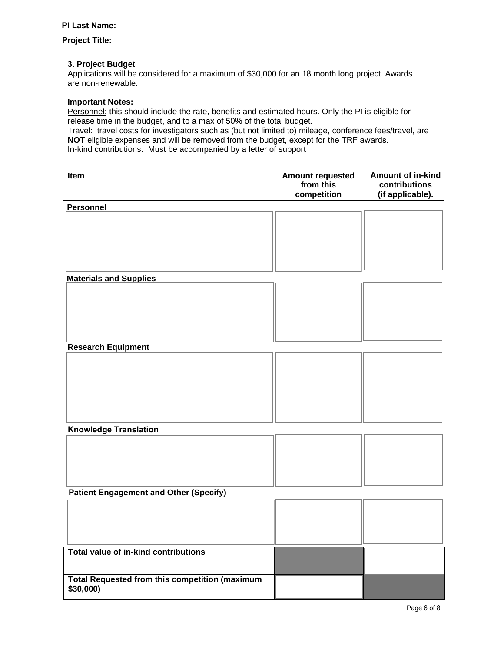#### **Project Title:**

#### **3. Project Budget**

Applications will be considered for a maximum of \$30,000 for an 18 month long project. Awards are non-renewable.

#### **Important Notes:**

Personnel: this should include the rate, benefits and estimated hours. Only the PI is eligible for release time in the budget, and to a max of 50% of the total budget.

Travel: travel costs for investigators such as (but not limited to) mileage, conference fees/travel, are **NOT** eligible expenses and will be removed from the budget, except for the TRF awards. In-kind contributions: Must be accompanied by a letter of support

| Item                                                  | <b>Amount requested</b> | <b>Amount of in-kind</b> |
|-------------------------------------------------------|-------------------------|--------------------------|
|                                                       | from this               | contributions            |
|                                                       | competition             | (if applicable).         |
| <b>Personnel</b>                                      |                         |                          |
|                                                       |                         |                          |
|                                                       |                         |                          |
|                                                       |                         |                          |
|                                                       |                         |                          |
|                                                       |                         |                          |
| <b>Materials and Supplies</b>                         |                         |                          |
|                                                       |                         |                          |
|                                                       |                         |                          |
|                                                       |                         |                          |
|                                                       |                         |                          |
|                                                       |                         |                          |
| <b>Research Equipment</b>                             |                         |                          |
|                                                       |                         |                          |
|                                                       |                         |                          |
|                                                       |                         |                          |
|                                                       |                         |                          |
|                                                       |                         |                          |
|                                                       |                         |                          |
| <b>Knowledge Translation</b>                          |                         |                          |
|                                                       |                         |                          |
|                                                       |                         |                          |
|                                                       |                         |                          |
|                                                       |                         |                          |
| <b>Patient Engagement and Other (Specify)</b>         |                         |                          |
|                                                       |                         |                          |
|                                                       |                         |                          |
|                                                       |                         |                          |
|                                                       |                         |                          |
| <b>Total value of in-kind contributions</b>           |                         |                          |
|                                                       |                         |                          |
|                                                       |                         |                          |
| <b>Total Requested from this competition (maximum</b> |                         |                          |
| \$30,000)                                             |                         |                          |
|                                                       |                         |                          |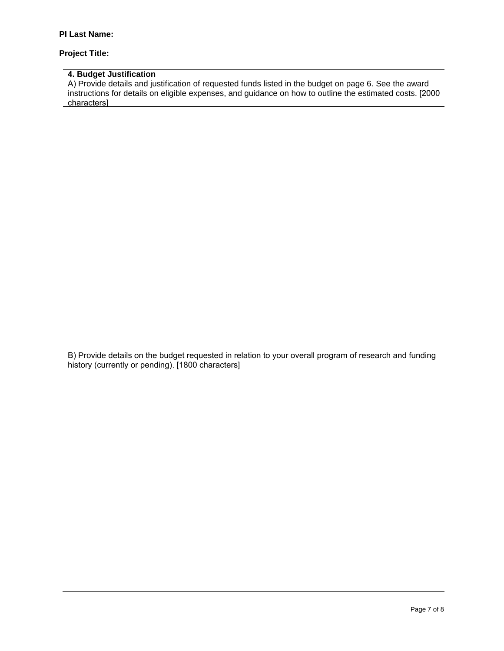#### **Project Title:**

# **4. Budget Justification**

A) Provide details and justification of requested funds listed in the budget on page 6. See the award instructions for details on eligible expenses, and guidance on how to outline the estimated costs. [2000 characters]

B) Provide details on the budget requested in relation to your overall program of research and funding history (currently or pending). [1800 characters]